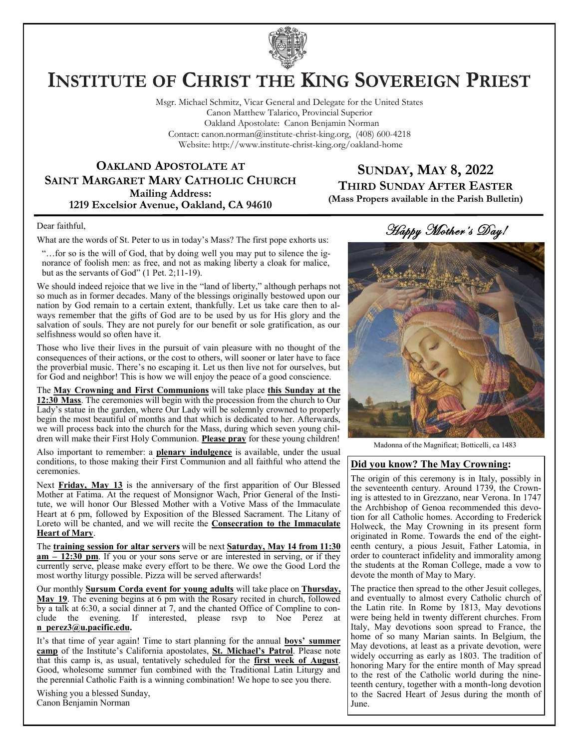

# **INSTITUTE OF CHRIST THE KING SOVEREIGN PRIEST**

Msgr. Michael Schmitz, Vicar General and Delegate for the United States Canon Matthew Talarico, Provincial Superior Oakland Apostolate: Canon Benjamin Norman Contact: canon.norman@institute-christ-king.org, (408) 600-4218 Website: http://www.institute-christ-king.org/oakland-home

## **OAKLAND APOSTOLATE AT SAINT MARGARET MARY CATHOLIC CHURCH Mailing Address: 1219 Excelsior Avenue, Oakland, CA 94610**

## **SUNDAY, MAY 8, 2022 THIRD SUNDAY AFTER EASTER (Mass Propers available in the Parish Bulletin)**

#### Dear faithful,

What are the words of St. Peter to us in today's Mass? The first pope exhorts us:

"…for so is the will of God, that by doing well you may put to silence the ignorance of foolish men: as free, and not as making liberty a cloak for malice, but as the servants of God" (1 Pet. 2;11-19).

We should indeed rejoice that we live in the "land of liberty," although perhaps not so much as in former decades. Many of the blessings originally bestowed upon our nation by God remain to a certain extent, thankfully. Let us take care then to always remember that the gifts of God are to be used by us for His glory and the salvation of souls. They are not purely for our benefit or sole gratification, as our selfishness would so often have it.

Those who live their lives in the pursuit of vain pleasure with no thought of the consequences of their actions, or the cost to others, will sooner or later have to face the proverbial music. There's no escaping it. Let us then live not for ourselves, but for God and neighbor! This is how we will enjoy the peace of a good conscience.

The **May Crowning and First Communions** will take place **this Sunday at the 12:30 Mass**. The ceremonies will begin with the procession from the church to Our Lady's statue in the garden, where Our Lady will be solemnly crowned to properly begin the most beautiful of months and that which is dedicated to her. Afterwards, we will process back into the church for the Mass, during which seven young children will make their First Holy Communion. **Please pray** for these young children!

Also important to remember: a **plenary indulgence** is available, under the usual conditions, to those making their First Communion and all faithful who attend the ceremonies.

Next **Friday, May 13** is the anniversary of the first apparition of Our Blessed Mother at Fatima. At the request of Monsignor Wach, Prior General of the Institute, we will honor Our Blessed Mother with a Votive Mass of the Immaculate Heart at 6 pm, followed by Exposition of the Blessed Sacrament. The Litany of Loreto will be chanted, and we will recite the **Consecration to the Immaculate Heart of Mary**.

The **training session for altar servers** will be next **Saturday, May 14 from 11:30 am – 12:30 pm**. If you or your sons serve or are interested in serving, or if they currently serve, please make every effort to be there. We owe the Good Lord the most worthy liturgy possible. Pizza will be served afterwards!

Our monthly **Sursum Corda event for young adults** will take place on **Thursday, May 19**. The evening begins at 6 pm with the Rosary recited in church, followed by a talk at 6:30, a social dinner at 7, and the chanted Office of Compline to conclude the evening. If interested, please rsvp to Noe Perez at **[n\\_perez3@u.pacific.edu.](mailto:n_perez3@u.pacific.edu)** 

It's that time of year again! Time to start planning for the annual **boys' summer camp** of the Institute's California apostolates, **St. Michael's Patrol**. Please note that this camp is, as usual, tentatively scheduled for the **first week of August**. Good, wholesome summer fun combined with the Traditional Latin Liturgy and the perennial Catholic Faith is a winning combination! We hope to see you there.

Wishing you a blessed Sunday, Canon Benjamin Norman

Happy Mother's Day!

Madonna of the Magnificat; Botticelli, ca 1483

#### **Did you know? The May Crowning:**

The origin of this ceremony is in Italy, possibly in the seventeenth century. Around 1739, the Crowning is attested to in Grezzano, near Verona. In 1747 the Archbishop of Genoa recommended this devotion for all Catholic homes. According to Frederick Holweck, the May Crowning in its present form originated in Rome. Towards the end of the eighteenth century, a pious Jesuit, Father Latomia, in order to counteract infidelity and immorality among the students at the Roman College, made a vow to devote the month of May to Mary.

The practice then spread to the other Jesuit colleges, and eventually to almost every Catholic church of the Latin rite. In Rome by 1813, May devotions were being held in twenty different churches. From Italy, May devotions soon spread to France, the home of so many Marian saints. In Belgium, the May devotions, at least as a private devotion, were widely occurring as early as 1803. The tradition of honoring Mary for the entire month of May spread to the rest of the Catholic world during the nineteenth century, together with a month-long devotion to the Sacred Heart of Jesus during the month of June.